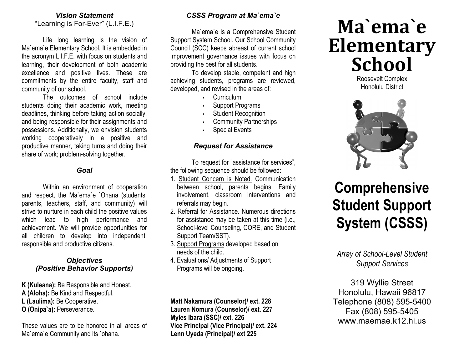#### *Vision Statement* "Learning is For-Ever" (L.I.F.E.)

Life long learning is the vision of Ma`ema`e Elementary School. It is embedded in the acronym L.I.F.E. with focus on students and learning, their development of both academic excellence and positive lives. These are commitments by the entire faculty, staff and community of our school.

The outcomes of school include students doing their academic work, meeting deadlines, thinking before taking action socially, and being responsible for their assignments and possessions. Additionally, we envision students working cooperatively in a positive and productive manner, taking turns and doing their share of work; problem-solving together.

#### *Goal*

Within an environment of cooperation and respect, the Ma`ema`e `Ohana (students, parents, teachers, staff, and community) will strive to nurture in each child the positive values which lead to high performance and achievement. We will provide opportunities for all children to develop into independent, responsible and productive citizens.

#### *Objectives (Positive Behavior Supports)*

- **K (Kuleana):** Be Responsible and Honest.
- **A (Aloha):** Be Kind and Respectful.
- **L (Laulima):** Be Cooperative.
- **O (Onipa`a):** Perseverance.

These values are to be honored in all areas of Ma`ema`e Community and its `ohana.

## *CSSS Program at Ma`ema`e*

Ma`ema`e is a Comprehensive Student Support System School. Our School Community Council (SCC) keeps abreast of current school improvement governance issues with focus on providing the best for all students.

To develop stable, competent and high achieving students, programs are reviewed, developed, and revised in the areas of:

- Curriculum
- Support Programs
- **Student Recognition**
- **Community Partnerships**
- **Special Events**

#### *Request for Assistance*

To request for "assistance for services", the following sequence should be followed:

- 1. Student Concern is Noted. Communication between school, parents begins. Family involvement, classroom interventions and referrals may begin.
- 2. Referral for Assistance. Numerous directions for assistance may be taken at this time (i.e., School-level Counseling, CORE, and Student Support Team/SST).
- 3. Support Programs developed based on needs of the child.
- 4. Evaluations/ Adjustments of Support Programs will be ongoing.

**Matt Nakamura (Counselor)/ ext. 228 Lauren Nomura (Counselor)/ ext. 227 Myles Ibara (SSC)/ ext. 226 Vice Principal (Vice Principal)/ ext. 224 Lenn Uyeda (Principal)/ ext 225**

# **Ma`ema`e Elementary School**

Roosevelt Complex Honolulu District



# **Comprehensive Student Support System (CSSS)**

*Array of School-Level Student Support Services*

319 Wyllie Street Honolulu, Hawaii 96817 Telephone (808) 595-5400 Fax (808) 595-5405 www.maemae.k12.hi.us